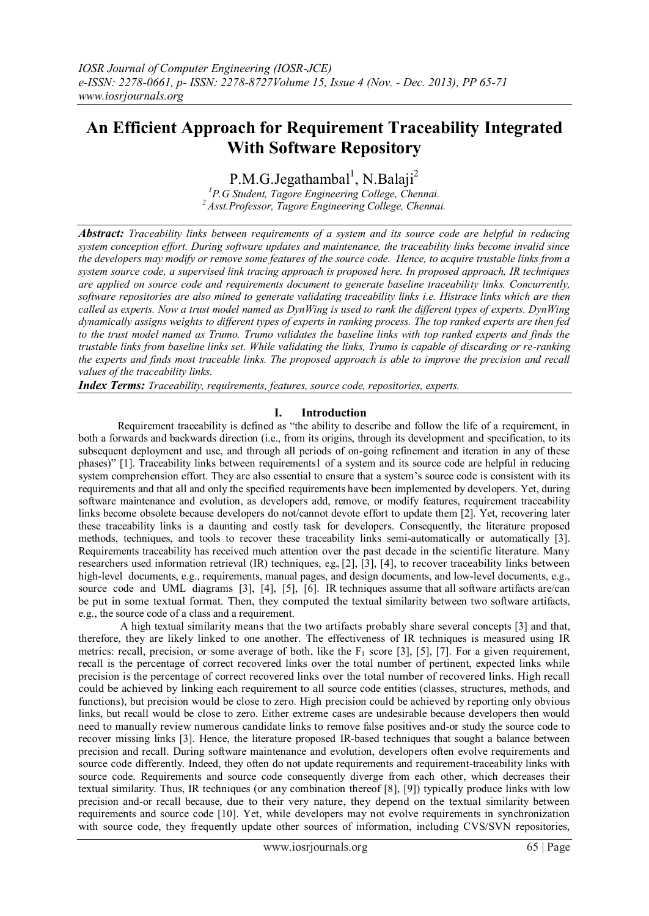# **An Efficient Approach for Requirement Traceability Integrated With Software Repository**

 $P.M.G.Jegathambal<sup>1</sup>, N.Balaji<sup>2</sup>$ 

*<sup>1</sup>P.G Student, Tagore Engineering College, Chennai. <sup>2</sup>Asst.Professor, Tagore Engineering College, Chennai.*

*Abstract: Traceability links between requirements of a system and its source code are helpful in reducing system conception effort. During software updates and maintenance, the traceability links become invalid since the developers may modify or remove some features of the source code. Hence, to acquire trustable links from a system source code, a supervised link tracing approach is proposed here. In proposed approach, IR techniques are applied on source code and requirements document to generate baseline traceability links. Concurrently, software repositories are also mined to generate validating traceability links i.e. Histrace links which are then called as experts. Now a trust model named as DynWing is used to rank the different types of experts. DynWing dynamically assigns weights to different types of experts in ranking process. The top ranked experts are then fed to the trust model named as Trumo. Trumo validates the baseline links with top ranked experts and finds the trustable links from baseline links set. While validating the links, Trumo is capable of discarding or re-ranking the experts and finds most traceable links. The proposed approach is able to improve the precision and recall values of the traceability links.* 

*Index Terms: Traceability, requirements, features, source code, repositories, experts.*

#### **I. Introduction**

Requirement traceability is defined as "the ability to describe and follow the life of a requirement, in both a forwards and backwards direction (i.e., from its origins, through its development and specification, to its subsequent deployment and use, and through all periods of on-going refinement and iteration in any of these phases)" [1]. Traceability links between requirements1 of a system and its source code are helpful in reducing system comprehension effort. They are also essential to ensure that a system's source code is consistent with its requirements and that all and only the specified requirements have been implemented by developers. Yet, during software maintenance and evolution, as developers add, remove, or modify features, requirement traceability links become obsolete because developers do not/cannot devote effort to update them [2]. Yet, recovering later these traceability links is a daunting and costly task for developers. Consequently, the literature proposed methods, techniques, and tools to recover these traceability links semi-automatically or automatically [3]. Requirements traceability has received much attention over the past decade in the scientific literature. Many researchers used information retrieval  $(IR)$  techniques, e.g.,  $[2]$ ,  $[3]$ ,  $[4]$ , to recover traceability links between high-level documents, e.g., requirements, manual pages, and design documents, and low-level documents, e.g., source code and UML diagrams [3], [4], [5], [6]. IR techniques assume that all software artifacts are/can be put in some textual format. Then, they computed the textual similarity between two software artifacts, e.g., the source code of a class and a requirement.

A high textual similarity means that the two artifacts probably share several concepts [3] and that, therefore, they are likely linked to one another. The effectiveness of IR techniques is measured using IR metrics: recall, precision, or some average of both, like the  $F_1$  score [3], [5], [7]. For a given requirement, recall is the percentage of correct recovered links over the total number of pertinent, expected links while precision is the percentage of correct recovered links over the total number of recovered links. High recall could be achieved by linking each requirement to all source code entities (classes, structures, methods, and functions), but precision would be close to zero. High precision could be achieved by reporting only obvious links, but recall would be close to zero. Either extreme cases are undesirable because developers then would need to manually review numerous candidate links to remove false positives and-or study the source code to recover missing links [3]. Hence, the literature proposed IR-based techniques that sought a balance between precision and recall. During software maintenance and evolution, developers often evolve requirements and source code differently. Indeed, they often do not update requirements and requirement-traceability links with source code. Requirements and source code consequently diverge from each other, which decreases their textual similarity. Thus, IR techniques (or any combination thereof [8], [9]) typically produce links with low precision and-or recall because, due to their very nature, they depend on the textual similarity between requirements and source code [10]. Yet, while developers may not evolve requirements in synchronization with source code, they frequently update other sources of information, including CVS/SVN repositories,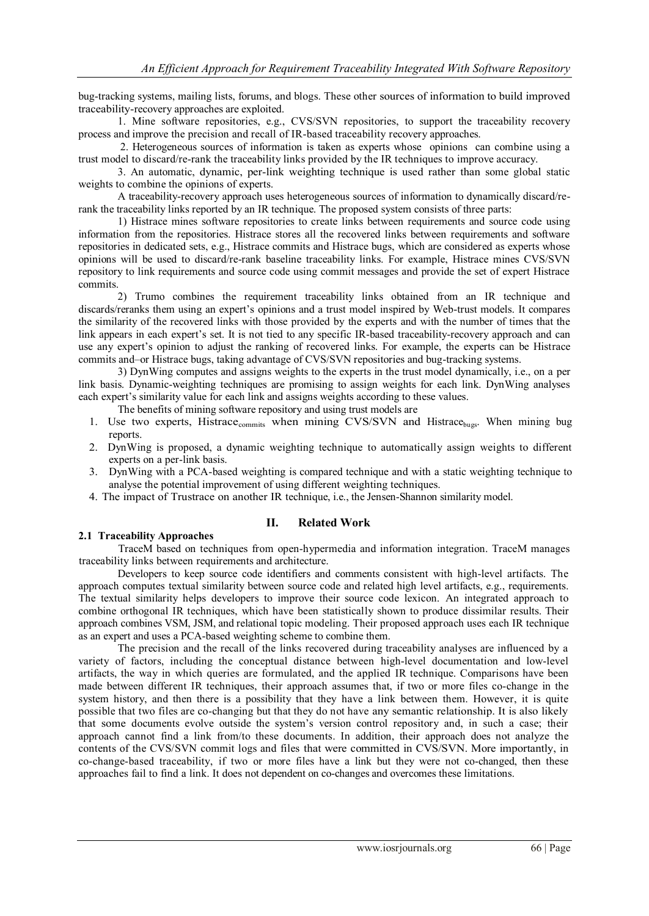bug-tracking systems, mailing lists, forums, and blogs. These other sources of information to build improved traceability-recovery approaches are exploited.

1. Mine software repositories, e.g., CVS/SVN repositories, to support the traceability recovery process and improve the precision and recall of IR-based traceability recovery approaches.

2. Heterogeneous sources of information is taken as experts whose opinions can combine using a trust model to discard/re-rank the traceability links provided by the IR techniques to improve accuracy.

3. An automatic, dynamic, per-link weighting technique is used rather than some global static weights to combine the opinions of experts.

A traceability-recovery approach uses heterogeneous sources of information to dynamically discard/rerank the traceability links reported by an IR technique. The proposed system consists of three parts:

1) Histrace mines software repositories to create links between requirements and source code using information from the repositories. Histrace stores all the recovered links between requirements and software repositories in dedicated sets, e.g., Histrace commits and Histrace bugs, which are considered as experts whose opinions will be used to discard/re-rank baseline traceability links. For example, Histrace mines CVS/SVN repository to link requirements and source code using commit messages and provide the set of expert Histrace commits.

2) Trumo combines the requirement traceability links obtained from an IR technique and discards/reranks them using an expert's opinions and a trust model inspired by Web-trust models. It compares the similarity of the recovered links with those provided by the experts and with the number of times that the link appears in each expert's set. It is not tied to any specific IR-based traceability-recovery approach and can use any expert's opinion to adjust the ranking of recovered links. For example, the experts can be Histrace commits and–or Histrace bugs, taking advantage of CVS/SVN repositories and bug-tracking systems.

3) DynWing computes and assigns weights to the experts in the trust model dynamically, i.e., on a per link basis. Dynamic-weighting techniques are promising to assign weights for each link. DynWing analyses each expert's similarity value for each link and assigns weights according to these values.

The benefits of mining software repository and using trust models are

- 1. Use two experts, Histrace<sub>commits</sub> when mining CVS/SVN and Histrace<sub>bugs</sub>. When mining bug reports.
- 2. DynWing is proposed, a dynamic weighting technique to automatically assign weights to different experts on a per-link basis.
- 3. DynWing with a PCA-based weighting is compared technique and with a static weighting technique to analyse the potential improvement of using different weighting techniques.
- 4. The impact of Trustrace on another IR technique, i.e., the Jensen-Shannon similarity model.

# **II. Related Work**

# **2.1 Traceability Approaches**

TraceM based on techniques from open-hypermedia and information integration. TraceM manages traceability links between requirements and architecture.

Developers to keep source code identifiers and comments consistent with high-level artifacts. The approach computes textual similarity between source code and related high level artifacts, e.g., requirements. The textual similarity helps developers to improve their source code lexicon. An integrated approach to combine orthogonal IR techniques, which have been statistically shown to produce dissimilar results. Their approach combines VSM, JSM, and relational topic modeling. Their proposed approach uses each IR technique as an expert and uses a PCA-based weighting scheme to combine them.

The precision and the recall of the links recovered during traceability analyses are influenced by a variety of factors, including the conceptual distance between high-level documentation and low-level artifacts, the way in which queries are formulated, and the applied IR technique. Comparisons have been made between different IR techniques, their approach assumes that, if two or more files co-change in the system history, and then there is a possibility that they have a link between them. However, it is quite possible that two files are co-changing but that they do not have any semantic relationship. It is also likely that some documents evolve outside the system's version control repository and, in such a case; their approach cannot find a link from/to these documents. In addition, their approach does not analyze the contents of the CVS/SVN commit logs and files that were committed in CVS/SVN. More importantly, in co-change-based traceability, if two or more files have a link but they were not co-changed, then these approaches fail to find a link. It does not dependent on co-changes and overcomes these limitations.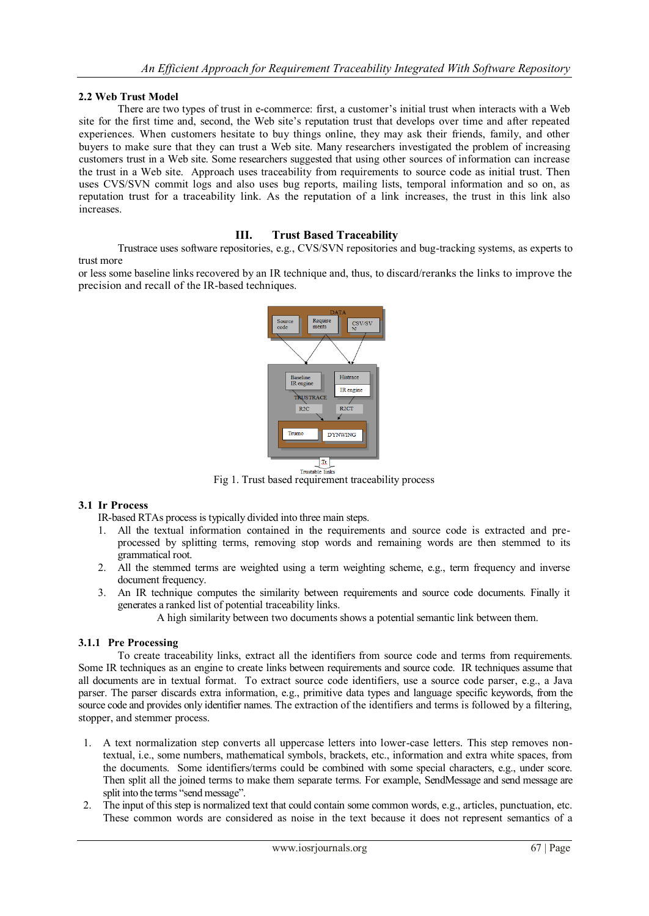# **2.2 Web Trust Model**

There are two types of trust in e-commerce: first, a customer's initial trust when interacts with a Web site for the first time and, second, the Web site's reputation trust that develops over time and after repeated experiences. When customers hesitate to buy things online, they may ask their friends, family, and other buyers to make sure that they can trust a Web site. Many researchers investigated the problem of increasing customers trust in a Web site. Some researchers suggested that using other sources of information can increase the trust in a Web site. Approach uses traceability from requirements to source code as initial trust. Then uses CVS/SVN commit logs and also uses bug reports, mailing lists, temporal information and so on, as reputation trust for a traceability link. As the reputation of a link increases, the trust in this link also increases.

# **III. Trust Based Traceability**

Trustrace uses software repositories, e.g., CVS/SVN repositories and bug-tracking systems, as experts to trust more

or less some baseline links recovered by an IR technique and, thus, to discard/reranks the links to improve the precision and recall of the IR-based techniques.



Fig 1. Trust based requirement traceability process

# **3.1 Ir Process**

IR-based RTAs process is typically divided into three main steps.

- 1. All the textual information contained in the requirements and source code is extracted and preprocessed by splitting terms, removing stop words and remaining words are then stemmed to its grammatical root.
- 2. All the stemmed terms are weighted using a term weighting scheme, e.g., term frequency and inverse document frequency.
- 3. An IR technique computes the similarity between requirements and source code documents. Finally it generates a ranked list of potential traceability links.

A high similarity between two documents shows a potential semantic link between them.

# **3.1.1 Pre Processing**

To create traceability links, extract all the identifiers from source code and terms from requirements. Some IR techniques as an engine to create links between requirements and source code. IR techniques assume that all documents are in textual format. To extract source code identifiers, use a source code parser, e.g., a Java parser. The parser discards extra information, e.g., primitive data types and language specific keywords, from the source code and provides only identifier names. The extraction of the identifiers and terms is followed by a filtering, stopper, and stemmer process.

- 1. A text normalization step converts all uppercase letters into lower-case letters. This step removes nontextual, i.e., some numbers, mathematical symbols, brackets, etc., information and extra white spaces, from the documents. Some identifiers/terms could be combined with some special characters, e.g., under score. Then split all the joined terms to make them separate terms. For example, SendMessage and send message are split into the terms "send message".
- 2. The input of this step is normalized text that could contain some common words, e.g., articles, punctuation, etc. These common words are considered as noise in the text because it does not represent semantics of a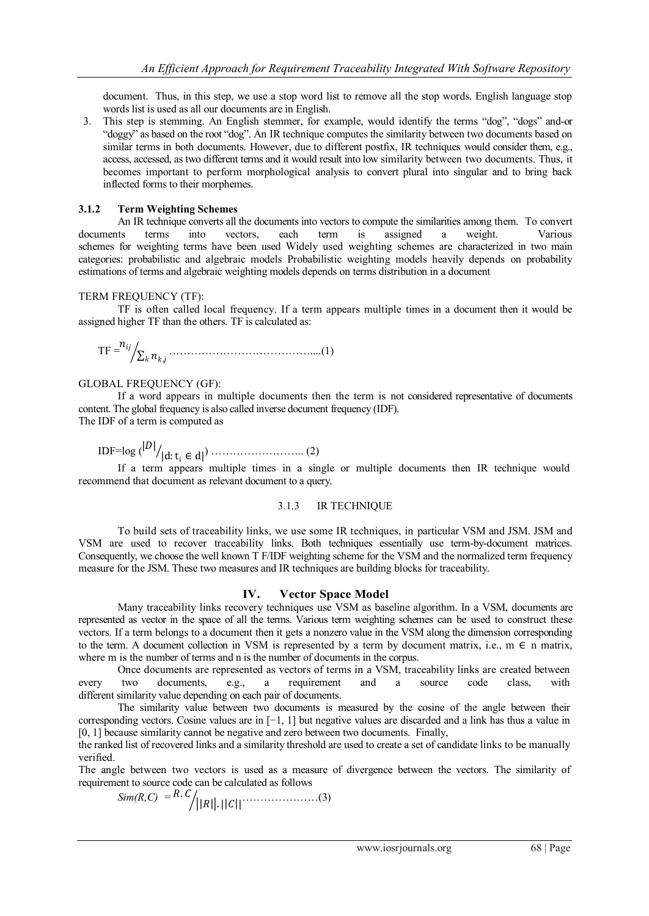document. Thus, in this step, we use a stop word list to remove all the stop words. English language stop words list is used as all our documents are in English.

3. This step is stemming. An English stemmer, for example, would identify the terms "dog", "dogs" and-or "doggy" as based on the root "dog". An IR technique computes the similarity between two documents based on similar terms in both documents. However, due to different postfix, IR techniques would consider them, e.g., access, accessed, as two different terms and it would result into low similarity between two documents. Thus, it becomes important to perform morphological analysis to convert plural into singular and to bring back inflected forms to their morphemes.

### **3.1.2 Term Weighting Schemes**

An IR technique converts all the documents into vectors to compute the similarities among them. To convert documents terms into vectors, each term is assigned a weight. Various schemes for weighting terms have been used Widely used weighting schemes are characterized in two main categories: probabilistic and algebraic models Probabilistic weighting models heavily depends on probability estimations of terms and algebraic weighting models depends on terms distribution in a document

#### TERM FREQUENCY (TF):

TF is often called local frequency. If a term appears multiple times in a document then it would be assigned higher TF than the others. TF is calculated as:

 $TF = \frac{n_{ij}}{n_{ij}}$ , …………………………………....(1)

#### GLOBAL FREQUENCY (GF):

If a word appears in multiple documents then the term is not considered representative of documents content. The global frequency is also called inverse document frequency (IDF). The IDF of a term is computed as

 $IDF = log (|D|)$ |d:t<sup>i</sup> ∈ d| ) …………………….. (2)

If a term appears multiple times in a single or multiple documents then IR technique would recommend that document as relevant document to a query.

#### 3.1.3 IR TECHNIQUE

To build sets of traceability links, we use some IR techniques, in particular VSM and JSM. JSM and VSM are used to recover traceability links. Both techniques essentially use term-by-document matrices. Consequently, we choose the well known T F/IDF weighting scheme for the VSM and the normalized term frequency measure for the JSM. These two measures and IR techniques are building blocks for traceability.

# **IV. Vector Space Model**

Many traceability links recovery techniques use VSM as baseline algorithm. In a VSM, documents are represented as vector in the space of all the terms. Various term weighting schemes can be used to construct these vectors. If a term belongs to a document then it gets a nonzero value in the VSM along the dimension corresponding to the term. A document collection in VSM is represented by a term by document matrix, i.e.,  $m \in n$  matrix, where m is the number of terms and n is the number of documents in the corpus.

Once documents are represented as vectors of terms in a VSM, traceability links are created between every two documents, e.g., a requirement and a source code class, with different similarity value depending on each pair of documents.

The similarity value between two documents is measured by the cosine of the angle between their corresponding vectors. Cosine values are in [−1, 1] but negative values are discarded and a link has thus a value in [0, 1] because similarity cannot be negative and zero between two documents. Finally,

the ranked list of recovered links and a similarity threshold are used to create a set of candidate links to be manually verified.

The angle between two vectors is used as a measure of divergence between the vectors. The similarity of requirement to source code can be calculated as follows

$$
Sim(R, C) = R.C / ||R||. ||C|| \qquad (3)
$$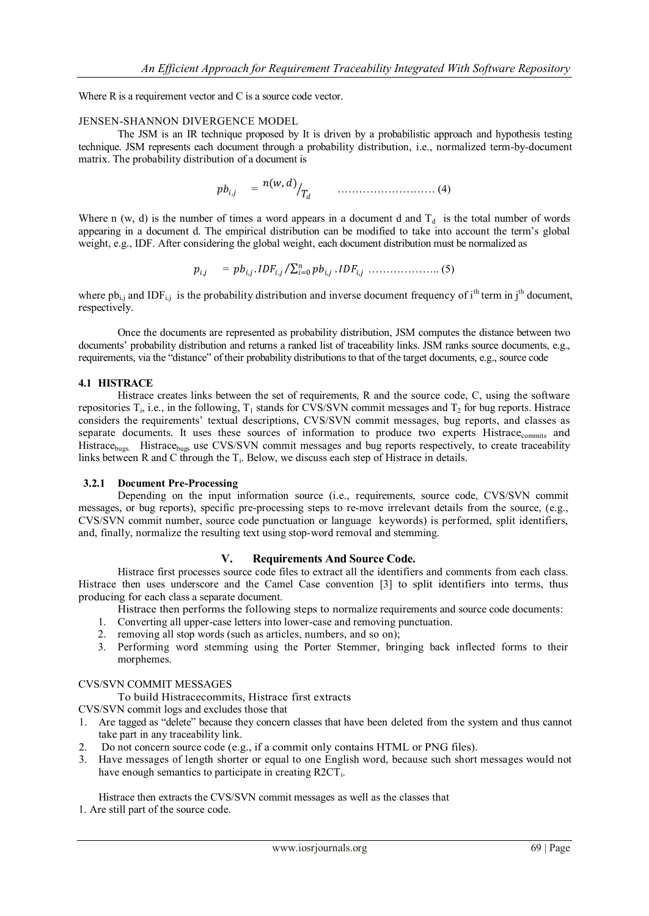Where R is a requirement vector and C is a source code vector.

#### JENSEN-SHANNON DIVERGENCE MODEL

The JSM is an IR technique proposed by It is driven by a probabilistic approach and hypothesis testing technique. JSM represents each document through a probability distribution, i.e., normalized term-by-document matrix. The probability distribution of a document is

, = (, ) ……………………… (4)

Where n (w, d) is the number of times a word appears in a document d and  $T_d$  is the total number of words appearing in a document d. The empirical distribution can be modified to take into account the term's global weight, e.g., IDF. After considering the global weight, each document distribution must be normalized as

$$
p_{i,j} = pb_{i,j}.IDF_{i,j}/\sum_{i=0}^{n} pb_{i,j}.IDF_{i,j} \dots \dots \dots \dots \dots \dots \dots \dots \tag{5}
$$

where  $pb_{i,j}$  and IDF<sub>i,j</sub> is the probability distribution and inverse document frequency of i<sup>th</sup> term in j<sup>th</sup> document, respectively.

Once the documents are represented as probability distribution, JSM computes the distance between two documents' probability distribution and returns a ranked list of traceability links. JSM ranks source documents, e.g., requirements, via the "distance" of their probability distributions to that of the target documents, e.g., source code

#### **4.1 HISTRACE**

Histrace creates links between the set of requirements, R and the source code, C, using the software repositories  $T_i$ , i.e., in the following,  $T_1$  stands for CVS/SVN commit messages and  $T_2$  for bug reports. Histrace considers the requirements' textual descriptions, CVS/SVN commit messages, bug reports, and classes as separate documents. It uses these sources of information to produce two experts Histrace<sub>commits</sub> and Histrace<sub>bugs.</sub> Histrace<sub>bugs</sub> use CVS/SVN commit messages and bug reports respectively, to create traceability links between R and C through the  $T_i$ . Below, we discuss each step of Histrace in details.

# **3.2.1 Document Pre-Processing**

Depending on the input information source (i.e., requirements, source code, CVS/SVN commit messages, or bug reports), specific pre-processing steps to re-move irrelevant details from the source, (e.g., CVS/SVN commit number, source code punctuation or language keywords) is performed, split identifiers, and, finally, normalize the resulting text using stop-word removal and stemming.

# **V. Requirements And Source Code.**

Histrace first processes source code files to extract all the identifiers and comments from each class. Histrace then uses underscore and the Camel Case convention [3] to split identifiers into terms, thus producing for each class a separate document.

Histrace then performs the following steps to normalize requirements and source code documents:

- 1. Converting all upper-case letters into lower-case and removing punctuation.
- 2. removing all stop words (such as articles, numbers, and so on);
- 3. Performing word stemming using the Porter Stemmer, bringing back inflected forms to their morphemes.

#### CVS/SVN COMMIT MESSAGES

To build Histracecommits, Histrace first extracts

CVS/SVN commit logs and excludes those that

- 1. Are tagged as "delete" because they concern classes that have been deleted from the system and thus cannot take part in any traceability link.
- 2. Do not concern source code (e.g., if a commit only contains HTML or PNG files).
- 3. Have messages of length shorter or equal to one English word, because such short messages would not have enough semantics to participate in creating R2CT<sub>i</sub>.

Histrace then extracts the CVS/SVN commit messages as well as the classes that

1. Are still part of the source code.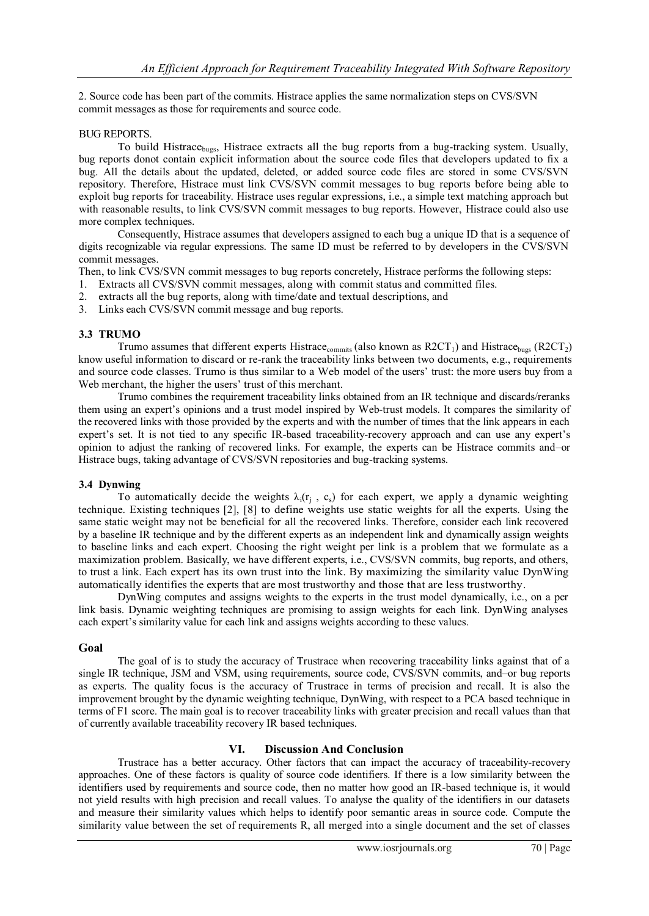2. Source code has been part of the commits. Histrace applies the same normalization steps on CVS/SVN commit messages as those for requirements and source code.

# BUG REPORTS.

To build Histrace<sub>bugs</sub>, Histrace extracts all the bug reports from a bug-tracking system. Usually, bug reports donot contain explicit information about the source code files that developers updated to fix a bug. All the details about the updated, deleted, or added source code files are stored in some CVS/SVN repository. Therefore, Histrace must link CVS/SVN commit messages to bug reports before being able to exploit bug reports for traceability. Histrace uses regular expressions, i.e., a simple text matching approach but with reasonable results, to link CVS/SVN commit messages to bug reports. However, Histrace could also use more complex techniques.

Consequently, Histrace assumes that developers assigned to each bug a unique ID that is a sequence of digits recognizable via regular expressions. The same ID must be referred to by developers in the CVS/SVN commit messages.

Then, to link CVS/SVN commit messages to bug reports concretely, Histrace performs the following steps:

- 1. Extracts all CVS/SVN commit messages, along with commit status and committed files.
- 2. extracts all the bug reports, along with time/date and textual descriptions, and
- 3. Links each CVS/SVN commit message and bug reports.

# **3.3 TRUMO**

Trumo assumes that different experts Histrace<sub>commits</sub> (also known as  $R2CT_1$ ) and Histrace<sub>bugs</sub> (R2CT<sub>2</sub>) know useful information to discard or re-rank the traceability links between two documents, e.g., requirements and source code classes. Trumo is thus similar to a Web model of the users' trust: the more users buy from a Web merchant, the higher the users' trust of this merchant.

Trumo combines the requirement traceability links obtained from an IR technique and discards/reranks them using an expert's opinions and a trust model inspired by Web-trust models. It compares the similarity of the recovered links with those provided by the experts and with the number of times that the link appears in each expert's set. It is not tied to any specific IR-based traceability-recovery approach and can use any expert's opinion to adjust the ranking of recovered links. For example, the experts can be Histrace commits and–or Histrace bugs, taking advantage of CVS/SVN repositories and bug-tracking systems.

# **3.4 Dynwing**

To automatically decide the weights  $\lambda_i(r_j, c_s)$  for each expert, we apply a dynamic weighting technique. Existing techniques [2], [8] to define weights use static weights for all the experts. Using the same static weight may not be beneficial for all the recovered links. Therefore, consider each link recovered by a baseline IR technique and by the different experts as an independent link and dynamically assign weights to baseline links and each expert. Choosing the right weight per link is a problem that we formulate as a maximization problem. Basically, we have different experts, i.e., CVS/SVN commits, bug reports, and others, to trust a link. Each expert has its own trust into the link. By maximizing the similarity value DynWing automatically identifies the experts that are most trustworthy and those that are less trustworthy.

DynWing computes and assigns weights to the experts in the trust model dynamically, i.e., on a per link basis. Dynamic weighting techniques are promising to assign weights for each link. DynWing analyses each expert's similarity value for each link and assigns weights according to these values.

# **Goal**

The goal of is to study the accuracy of Trustrace when recovering traceability links against that of a single IR technique, JSM and VSM, using requirements, source code, CVS/SVN commits, and–or bug reports as experts. The quality focus is the accuracy of Trustrace in terms of precision and recall. It is also the improvement brought by the dynamic weighting technique, DynWing, with respect to a PCA based technique in terms of F1 score. The main goal is to recover traceability links with greater precision and recall values than that of currently available traceability recovery IR based techniques.

# **VI. Discussion And Conclusion**

Trustrace has a better accuracy. Other factors that can impact the accuracy of traceability-recovery approaches. One of these factors is quality of source code identifiers. If there is a low similarity between the identifiers used by requirements and source code, then no matter how good an IR-based technique is, it would not yield results with high precision and recall values. To analyse the quality of the identifiers in our datasets and measure their similarity values which helps to identify poor semantic areas in source code. Compute the similarity value between the set of requirements R, all merged into a single document and the set of classes